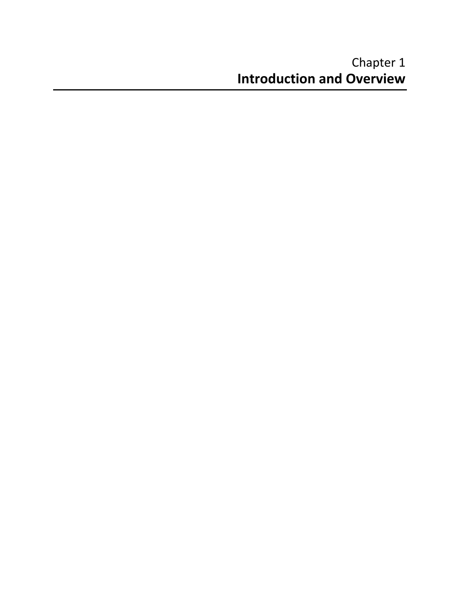#### Chapter 1 **Introduction and Overview**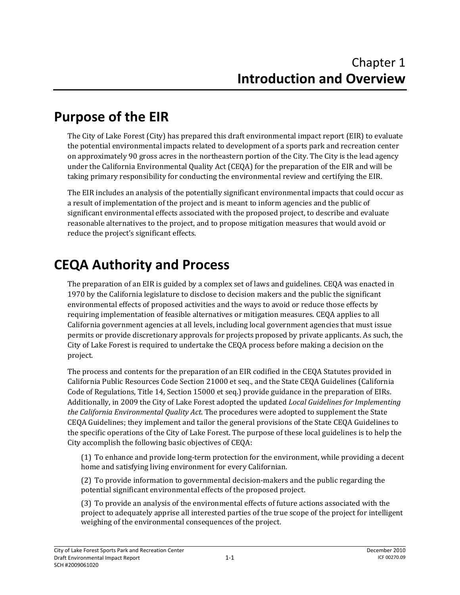# **Purpose of the EIR**

The City of Lake Forest (City) has prepared this draft environmental impact report (EIR) to evaluate the potential environmental impacts related to development of a sports park and recreation center on approximately 90 gross acres in the northeastern portion of the City. The City is the lead agency under the California Environmental Quality Act (CEQA) for the preparation of the EIR and will be taking primary responsibility for conducting the environmental review and certifying the EIR.

The EIR includes an analysis of the potentially significant environmental impacts that could occur as a result of implementation of the project and is meant to inform agencies and the public of significant environmental effects associated with the proposed project, to describe and evaluate reasonable alternatives to the project, and to propose mitigation measures that would avoid or reduce the project's significant effects.

# **CEQA Authority and Process**

The preparation of an EIR is guided by a complex set of laws and guidelines. CEQA was enacted in 1970 by the California legislature to disclose to decision makers and the public the significant environmental effects of proposed activities and the ways to avoid or reduce those effects by requiring implementation of feasible alternatives or mitigation measures. CEQA applies to all California government agencies at all levels, including local government agencies that must issue permits or provide discretionary approvals for projects proposed by private applicants. As such, the City of Lake Forest is required to undertake the CEQA process before making a decision on the project.

The process and contents for the preparation of an EIR codified in the CEQA Statutes provided in California Public Resources Code Section 21000 et seq., and the State CEQA Guidelines (California Code of Regulations, Title 14, Section 15000 et seq.) provide guidance in the preparation of EIRs. Additionally, in 2009 the City of Lake Forest adopted the updated *Local Guidelines for Implementing the California Environmental Quality Act*. The procedures were adopted to supplement the State CEQA Guidelines; they implement and tailor the general provisions of the State CEQA Guidelines to the specific operations of the City of Lake Forest. The purpose of these local guidelines is to help the City accomplish the following basic objectives of CEQA:

(1) To enhance and provide long‐term protection for the environment, while providing a decent home and satisfying living environment for every Californian.

(2) To provide information to governmental decision‐makers and the public regarding the potential significant environmental effects of the proposed project.

(3) To provide an analysis of the environmental effects of future actions associated with the project to adequately apprise all interested parties of the true scope of the project for intelligent weighing of the environmental consequences of the project.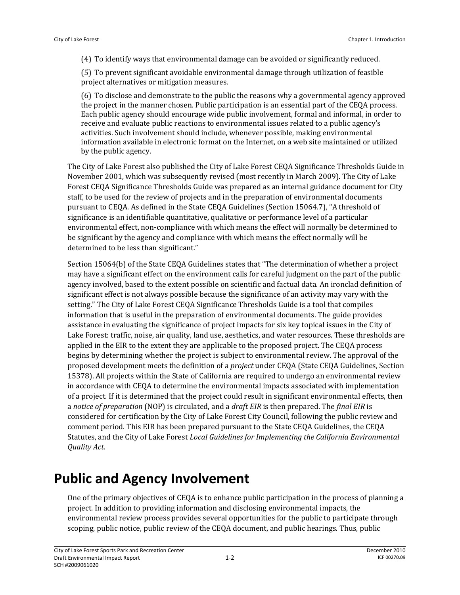(4) To identify ways that environmental damage can be avoided or significantly reduced.

(5) To prevent significant avoidable environmental damage through utilization of feasible project alternatives or mitigation measures.

(6) To disclose and demonstrate to the public the reasons why a governmental agency approved the project in the manner chosen. Public participation is an essential part of the CEQA process. Each public agency should encourage wide public involvement, formal and informal, in order to receive and evaluate public reactions to environmental issues related to a public agency's activities. Such involvement should include, whenever possible, making environmental information available in electronic format on the Internet, on a web site maintained or utilized by the public agency.

The City of Lake Forest also published the City of Lake Forest CEQA Significance Thresholds Guide in November 2001, which was subsequently revised (most recently in March 2009). The City of Lake Forest CEQA Significance Thresholds Guide was prepared as an internal guidance document for City staff, to be used for the review of projects and in the preparation of environmental documents pursuant to CEQA. As defined in the State CEQA Guidelines (Section 15064.7), "A threshold of significance is an identifiable quantitative, qualitative or performance level of a particular environmental effect, non‐compliance with which means the effect will normally be determined to be significant by the agency and compliance with which means the effect normally will be determined to be less than significant."

Section 15064(b) of the State CEQA Guidelines states that "The determination of whether a project may have a significant effect on the environment calls for careful judgment on the part of the public agency involved, based to the extent possible on scientific and factual data. An ironclad definition of significant effect is not always possible because the significance of an activity may vary with the setting." The City of Lake Forest CEQA Significance Thresholds Guide is a tool that compiles information that is useful in the preparation of environmental documents. The guide provides assistance in evaluating the significance of project impacts for six key topical issues in the City of Lake Forest: traffic, noise, air quality, land use, aesthetics, and water resources. These thresholds are applied in the EIR to the extent they are applicable to the proposed project. The CEQA process begins by determining whether the project is subject to environmental review. The approval of the proposed development meets the definition of a *project* under CEQA (State CEQA Guidelines, Section 15378). All projects within the State of California are required to undergo an environmental review in accordance with CEQA to determine the environmental impacts associated with implementation of a project. If it is determined that the project could result in significant environmental effects, then a *notice of preparation* (NOP) is circulated, and a *draft EIR* is then prepared. The *final EIR* is considered for certification by the City of Lake Forest City Council, following the public review and comment period. This EIR has been prepared pursuant to the State CEQA Guidelines, the CEQA Statutes, and the City of Lake Forest *Local Guidelines for Implementing the California Environmental Quality Act.*

### **Public and Agency Involvement**

One of the primary objectives of CEQA is to enhance public participation in the process of planning a project. In addition to providing information and disclosing environmental impacts, the environmental review process provides several opportunities for the public to participate through scoping, public notice, public review of the CEQA document, and public hearings. Thus, public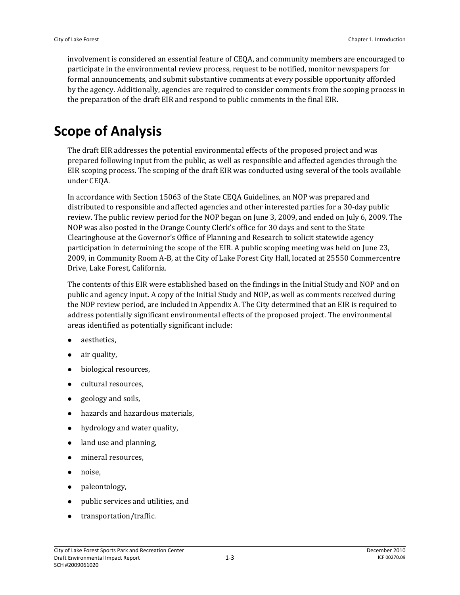involvement is considered an essential feature of CEQA, and community members are encouraged to participate in the environmental review process, request to be notified, monitor newspapers for formal announcements, and submit substantive comments at every possible opportunity afforded by the agency. Additionally, agencies are required to consider comments from the scoping process in the preparation of the draft EIR and respond to public comments in the final EIR.

### **Scope of Analysis**

The draft EIR addresses the potential environmental effects of the proposed project and was prepared following input from the public, as well as responsible and affected agencies through the EIR scoping process. The scoping of the draft EIR was conducted using several of the tools available under CEQA.

In accordance with Section 15063 of the State CEQA Guidelines, an NOP was prepared and distributed to responsible and affected agencies and other interested parties for a 30‐day public review. The public review period for the NOP began on June 3, 2009, and ended on July 6, 2009. The NOP was also posted in the Orange County Clerk's office for 30 days and sent to the State Clearinghouse at the Governor's Office of Planning and Research to solicit statewide agency participation in determining the scope of the EIR. A public scoping meeting was held on June 23, 2009, in Community Room A‐B, at the City of Lake Forest City Hall, located at 25550 Commercentre Drive, Lake Forest, California.

The contents of this EIR were established based on the findings in the Initial Study and NOP and on public and agency input. A copy of the Initial Study and NOP, as well as comments received during the NOP review period, are included in Appendix A. The City determined that an EIR is required to address potentially significant environmental effects of the proposed project. The environmental areas identified as potentially significant include:

- aesthetics,
- air quality,
- biological resources,
- cultural resources,
- geology and soils,
- hazards and hazardous materials,
- hydrology and water quality,
- land use and planning,
- mineral resources,
- noise,
- paleontology,
- public services and utilities, and
- transportation/traffic.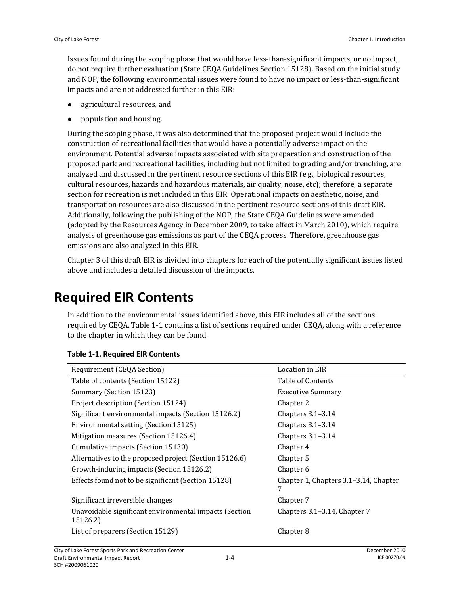Issues found during the scoping phase that would have less‐than‐significant impacts, or no impact, do not require further evaluation (State CEQA Guidelines Section 15128). Based on the initial study and NOP, the following environmental issues were found to have no impact or less‐than‐significant impacts and are not addressed further in this EIR:

- agricultural resources, and
- population and housing.

During the scoping phase, it was also determined that the proposed project would include the construction of recreational facilities that would have a potentially adverse impact on the environment. Potential adverse impacts associated with site preparation and construction of the proposed park and recreational facilities, including but not limited to grading and/or trenching, are analyzed and discussed in the pertinent resource sections of this EIR (e.g., biological resources, cultural resources, hazards and hazardous materials, air quality, noise, etc); therefore, a separate section for recreation is not included in this EIR. Operational impacts on aesthetic, noise, and transportation resources are also discussed in the pertinent resource sections of this draft EIR. Additionally, following the publishing of the NOP, the State CEQA Guidelines were amended (adopted by the Resources Agency in December 2009, to take effect in March 2010), which require analysis of greenhouse gas emissions as part of the CEQA process. Therefore, greenhouse gas emissions are also analyzed in this EIR.

Chapter 3 of this draft EIR is divided into chapters for each of the potentially significant issues listed above and includes a detailed discussion of the impacts.

# **Required EIR Contents**

In addition to the environmental issues identified above, this EIR includes all of the sections required by CEQA. Table 1‐1 contains a list of sections required under CEQA, along with a reference to the chapter in which they can be found.

| Requirement (CEQA Section)                                         | Location in EIR                       |
|--------------------------------------------------------------------|---------------------------------------|
| Table of contents (Section 15122)                                  | Table of Contents                     |
| Summary (Section 15123)                                            | <b>Executive Summary</b>              |
| Project description (Section 15124)                                | Chapter 2                             |
| Significant environmental impacts (Section 15126.2)                | Chapters $3.1-3.14$                   |
| Environmental setting (Section 15125)                              | Chapters $3.1-3.14$                   |
| Mitigation measures (Section 15126.4)                              | Chapters $3.1-3.14$                   |
| Cumulative impacts (Section 15130)                                 | Chapter 4                             |
| Alternatives to the proposed project (Section 15126.6)             | Chapter 5                             |
| Growth-inducing impacts (Section 15126.2)                          | Chapter 6                             |
| Effects found not to be significant (Section 15128)                | Chapter 1, Chapters 3.1–3.14, Chapter |
| Significant irreversible changes                                   | Chapter 7                             |
| Unavoidable significant environmental impacts (Section<br>15126.2) | Chapters 3.1–3.14, Chapter 7          |
| List of preparers (Section 15129)                                  | Chapter 8                             |
|                                                                    |                                       |

#### **Table 1‐1. Required EIR Contents**